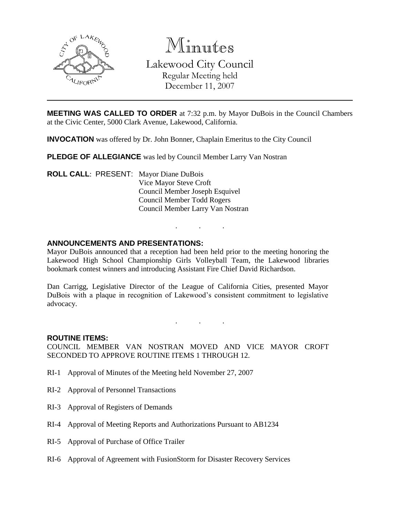

Minutes Lakewood City Council Regular Meeting held December 11, 2007

**MEETING WAS CALLED TO ORDER** at 7:32 p.m. by Mayor DuBois in the Council Chambers at the Civic Center, 5000 Clark Avenue, Lakewood, California.

**INVOCATION** was offered by Dr. John Bonner, Chaplain Emeritus to the City Council

**PLEDGE OF ALLEGIANCE** was led by Council Member Larry Van Nostran

**ROLL CALL**: PRESENT: Mayor Diane DuBois Vice Mayor Steve Croft Council Member Joseph Esquivel Council Member Todd Rogers Council Member Larry Van Nostran

## **ANNOUNCEMENTS AND PRESENTATIONS:**

Mayor DuBois announced that a reception had been held prior to the meeting honoring the Lakewood High School Championship Girls Volleyball Team, the Lakewood libraries bookmark contest winners and introducing Assistant Fire Chief David Richardson.

. . .

Dan Carrigg, Legislative Director of the League of California Cities, presented Mayor DuBois with a plaque in recognition of Lakewood's consistent commitment to legislative advocacy.

. . .

#### **ROUTINE ITEMS:**

COUNCIL MEMBER VAN NOSTRAN MOVED AND VICE MAYOR CROFT SECONDED TO APPROVE ROUTINE ITEMS 1 THROUGH 12.

- RI-1 Approval of Minutes of the Meeting held November 27, 2007
- RI-2 Approval of Personnel Transactions
- RI-3 Approval of Registers of Demands
- RI-4 Approval of Meeting Reports and Authorizations Pursuant to AB1234
- RI-5 Approval of Purchase of Office Trailer
- RI-6 Approval of Agreement with FusionStorm for Disaster Recovery Services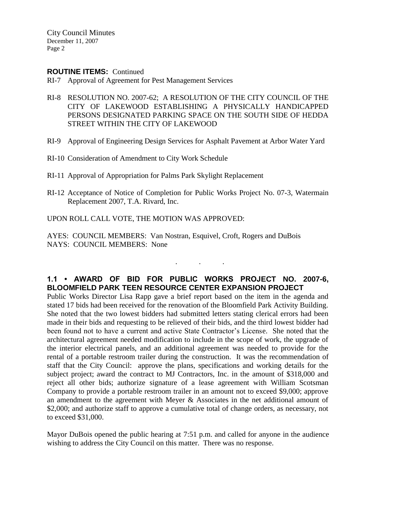#### **ROUTINE ITEMS:** Continued

- RI-7 Approval of Agreement for Pest Management Services
- RI-8 RESOLUTION NO. 2007-62; A RESOLUTION OF THE CITY COUNCIL OF THE CITY OF LAKEWOOD ESTABLISHING A PHYSICALLY HANDICAPPED PERSONS DESIGNATED PARKING SPACE ON THE SOUTH SIDE OF HEDDA STREET WITHIN THE CITY OF LAKEWOOD
- RI-9 Approval of Engineering Design Services for Asphalt Pavement at Arbor Water Yard
- RI-10 Consideration of Amendment to City Work Schedule
- RI-11 Approval of Appropriation for Palms Park Skylight Replacement
- RI-12 Acceptance of Notice of Completion for Public Works Project No. 07-3, Watermain Replacement 2007, T.A. Rivard, Inc.

## UPON ROLL CALL VOTE, THE MOTION WAS APPROVED:

AYES: COUNCIL MEMBERS: Van Nostran, Esquivel, Croft, Rogers and DuBois NAYS: COUNCIL MEMBERS: None

# **1.1 • AWARD OF BID FOR PUBLIC WORKS PROJECT NO. 2007-6, BLOOMFIELD PARK TEEN RESOURCE CENTER EXPANSION PROJECT**

. . .

Public Works Director Lisa Rapp gave a brief report based on the item in the agenda and stated 17 bids had been received for the renovation of the Bloomfield Park Activity Building. She noted that the two lowest bidders had submitted letters stating clerical errors had been made in their bids and requesting to be relieved of their bids, and the third lowest bidder had been found not to have a current and active State Contractor's License. She noted that the architectural agreement needed modification to include in the scope of work, the upgrade of the interior electrical panels, and an additional agreement was needed to provide for the rental of a portable restroom trailer during the construction. It was the recommendation of staff that the City Council: approve the plans, specifications and working details for the subject project; award the contract to MJ Contractors, Inc. in the amount of \$318,000 and reject all other bids; authorize signature of a lease agreement with William Scotsman Company to provide a portable restroom trailer in an amount not to exceed \$9,000; approve an amendment to the agreement with Meyer & Associates in the net additional amount of \$2,000; and authorize staff to approve a cumulative total of change orders, as necessary, not to exceed \$31,000.

Mayor DuBois opened the public hearing at 7:51 p.m. and called for anyone in the audience wishing to address the City Council on this matter. There was no response.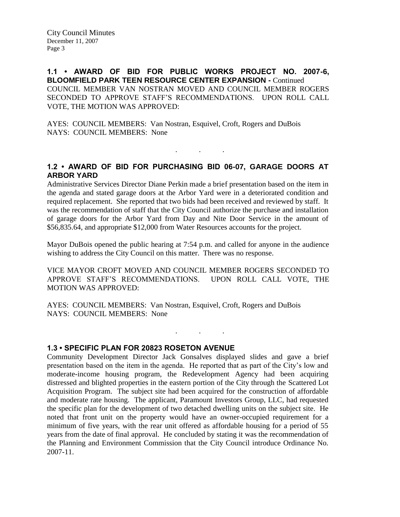**1.1 • AWARD OF BID FOR PUBLIC WORKS PROJECT NO. 2007-6, BLOOMFIELD PARK TEEN RESOURCE CENTER EXPANSION -** Continued COUNCIL MEMBER VAN NOSTRAN MOVED AND COUNCIL MEMBER ROGERS SECONDED TO APPROVE STAFF'S RECOMMENDATIONS. UPON ROLL CALL VOTE, THE MOTION WAS APPROVED:

AYES: COUNCIL MEMBERS: Van Nostran, Esquivel, Croft, Rogers and DuBois NAYS: COUNCIL MEMBERS: None

## **1.2 • AWARD OF BID FOR PURCHASING BID 06-07, GARAGE DOORS AT ARBOR YARD**

. . .

Administrative Services Director Diane Perkin made a brief presentation based on the item in the agenda and stated garage doors at the Arbor Yard were in a deteriorated condition and required replacement. She reported that two bids had been received and reviewed by staff. It was the recommendation of staff that the City Council authorize the purchase and installation of garage doors for the Arbor Yard from Day and Nite Door Service in the amount of \$56,835.64, and appropriate \$12,000 from Water Resources accounts for the project.

Mayor DuBois opened the public hearing at 7:54 p.m. and called for anyone in the audience wishing to address the City Council on this matter. There was no response.

VICE MAYOR CROFT MOVED AND COUNCIL MEMBER ROGERS SECONDED TO APPROVE STAFF'S RECOMMENDATIONS. UPON ROLL CALL VOTE, THE MOTION WAS APPROVED:

. . .

AYES: COUNCIL MEMBERS: Van Nostran, Esquivel, Croft, Rogers and DuBois NAYS: COUNCIL MEMBERS: None

**1.3 • SPECIFIC PLAN FOR 20823 ROSETON AVENUE**

Community Development Director Jack Gonsalves displayed slides and gave a brief presentation based on the item in the agenda. He reported that as part of the City's low and moderate-income housing program, the Redevelopment Agency had been acquiring distressed and blighted properties in the eastern portion of the City through the Scattered Lot Acquisition Program. The subject site had been acquired for the construction of affordable and moderate rate housing. The applicant, Paramount Investors Group, LLC, had requested the specific plan for the development of two detached dwelling units on the subject site. He noted that front unit on the property would have an owner-occupied requirement for a minimum of five years, with the rear unit offered as affordable housing for a period of 55 years from the date of final approval. He concluded by stating it was the recommendation of the Planning and Environment Commission that the City Council introduce Ordinance No. 2007-11.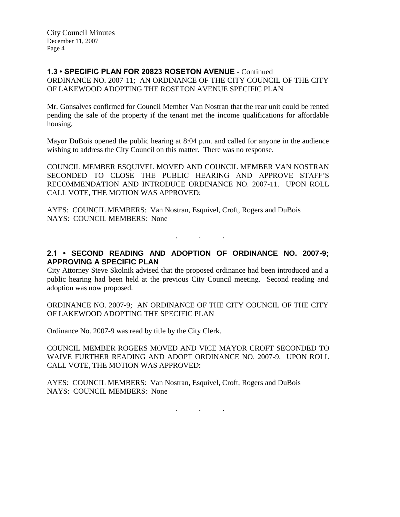## **1.3 • SPECIFIC PLAN FOR 20823 ROSETON AVENUE** - Continued

ORDINANCE NO. 2007-11; AN ORDINANCE OF THE CITY COUNCIL OF THE CITY OF LAKEWOOD ADOPTING THE ROSETON AVENUE SPECIFIC PLAN

Mr. Gonsalves confirmed for Council Member Van Nostran that the rear unit could be rented pending the sale of the property if the tenant met the income qualifications for affordable housing.

Mayor DuBois opened the public hearing at 8:04 p.m. and called for anyone in the audience wishing to address the City Council on this matter. There was no response.

COUNCIL MEMBER ESQUIVEL MOVED AND COUNCIL MEMBER VAN NOSTRAN SECONDED TO CLOSE THE PUBLIC HEARING AND APPROVE STAFF'S RECOMMENDATION AND INTRODUCE ORDINANCE NO. 2007-11. UPON ROLL CALL VOTE, THE MOTION WAS APPROVED:

AYES: COUNCIL MEMBERS: Van Nostran, Esquivel, Croft, Rogers and DuBois NAYS: COUNCIL MEMBERS: None

## **2.1 • SECOND READING AND ADOPTION OF ORDINANCE NO. 2007-9; APPROVING A SPECIFIC PLAN**

. . .

City Attorney Steve Skolnik advised that the proposed ordinance had been introduced and a public hearing had been held at the previous City Council meeting. Second reading and adoption was now proposed.

ORDINANCE NO. 2007-9; AN ORDINANCE OF THE CITY COUNCIL OF THE CITY OF LAKEWOOD ADOPTING THE SPECIFIC PLAN

Ordinance No. 2007-9 was read by title by the City Clerk.

COUNCIL MEMBER ROGERS MOVED AND VICE MAYOR CROFT SECONDED TO WAIVE FURTHER READING AND ADOPT ORDINANCE NO. 2007-9. UPON ROLL CALL VOTE, THE MOTION WAS APPROVED:

AYES: COUNCIL MEMBERS: Van Nostran, Esquivel, Croft, Rogers and DuBois NAYS: COUNCIL MEMBERS: None

. . .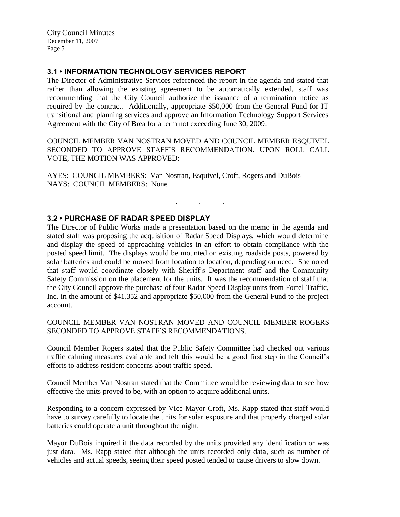## **3.1 • INFORMATION TECHNOLOGY SERVICES REPORT**

The Director of Administrative Services referenced the report in the agenda and stated that rather than allowing the existing agreement to be automatically extended, staff was recommending that the City Council authorize the issuance of a termination notice as required by the contract. Additionally, appropriate \$50,000 from the General Fund for IT transitional and planning services and approve an Information Technology Support Services Agreement with the City of Brea for a term not exceeding June 30, 2009.

COUNCIL MEMBER VAN NOSTRAN MOVED AND COUNCIL MEMBER ESQUIVEL SECONDED TO APPROVE STAFF'S RECOMMENDATION. UPON ROLL CALL VOTE, THE MOTION WAS APPROVED:

. . .

AYES: COUNCIL MEMBERS: Van Nostran, Esquivel, Croft, Rogers and DuBois NAYS: COUNCIL MEMBERS: None

## **3.2 • PURCHASE OF RADAR SPEED DISPLAY**

The Director of Public Works made a presentation based on the memo in the agenda and stated staff was proposing the acquisition of Radar Speed Displays, which would determine and display the speed of approaching vehicles in an effort to obtain compliance with the posted speed limit. The displays would be mounted on existing roadside posts, powered by solar batteries and could be moved from location to location, depending on need. She noted that staff would coordinate closely with Sheriff's Department staff and the Community Safety Commission on the placement for the units. It was the recommendation of staff that the City Council approve the purchase of four Radar Speed Display units from Fortel Traffic, Inc. in the amount of \$41,352 and appropriate \$50,000 from the General Fund to the project account.

COUNCIL MEMBER VAN NOSTRAN MOVED AND COUNCIL MEMBER ROGERS SECONDED TO APPROVE STAFF'S RECOMMENDATIONS.

Council Member Rogers stated that the Public Safety Committee had checked out various traffic calming measures available and felt this would be a good first step in the Council's efforts to address resident concerns about traffic speed.

Council Member Van Nostran stated that the Committee would be reviewing data to see how effective the units proved to be, with an option to acquire additional units.

Responding to a concern expressed by Vice Mayor Croft, Ms. Rapp stated that staff would have to survey carefully to locate the units for solar exposure and that properly charged solar batteries could operate a unit throughout the night.

Mayor DuBois inquired if the data recorded by the units provided any identification or was just data. Ms. Rapp stated that although the units recorded only data, such as number of vehicles and actual speeds, seeing their speed posted tended to cause drivers to slow down.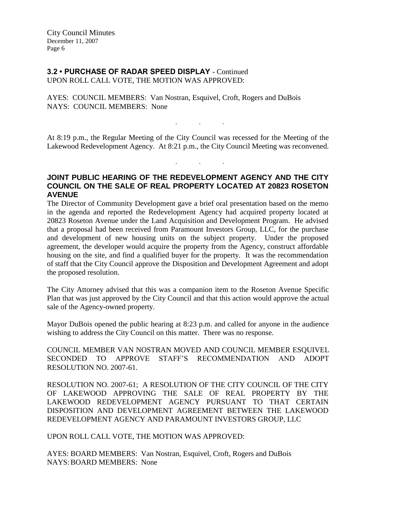# **3.2 • PURCHASE OF RADAR SPEED DISPLAY** - Continued

UPON ROLL CALL VOTE, THE MOTION WAS APPROVED:

AYES: COUNCIL MEMBERS: Van Nostran, Esquivel, Croft, Rogers and DuBois NAYS: COUNCIL MEMBERS: None

At 8:19 p.m., the Regular Meeting of the City Council was recessed for the Meeting of the Lakewood Redevelopment Agency. At 8:21 p.m., the City Council Meeting was reconvened.

. . .

. . .

## **JOINT PUBLIC HEARING OF THE REDEVELOPMENT AGENCY AND THE CITY COUNCIL ON THE SALE OF REAL PROPERTY LOCATED AT 20823 ROSETON AVENUE**

The Director of Community Development gave a brief oral presentation based on the memo in the agenda and reported the Redevelopment Agency had acquired property located at 20823 Roseton Avenue under the Land Acquisition and Development Program. He advised that a proposal had been received from Paramount Investors Group, LLC, for the purchase and development of new housing units on the subject property. Under the proposed agreement, the developer would acquire the property from the Agency, construct affordable housing on the site, and find a qualified buyer for the property. It was the recommendation of staff that the City Council approve the Disposition and Development Agreement and adopt the proposed resolution.

The City Attorney advised that this was a companion item to the Roseton Avenue Specific Plan that was just approved by the City Council and that this action would approve the actual sale of the Agency-owned property.

Mayor DuBois opened the public hearing at 8:23 p.m. and called for anyone in the audience wishing to address the City Council on this matter. There was no response.

COUNCIL MEMBER VAN NOSTRAN MOVED AND COUNCIL MEMBER ESQUIVEL SECONDED TO APPROVE STAFF'S RECOMMENDATION AND ADOPT RESOLUTION NO. 2007-61.

RESOLUTION NO. 2007-61; A RESOLUTION OF THE CITY COUNCIL OF THE CITY OF LAKEWOOD APPROVING THE SALE OF REAL PROPERTY BY THE LAKEWOOD REDEVELOPMENT AGENCY PURSUANT TO THAT CERTAIN DISPOSITION AND DEVELOPMENT AGREEMENT BETWEEN THE LAKEWOOD REDEVELOPMENT AGENCY AND PARAMOUNT INVESTORS GROUP, LLC

UPON ROLL CALL VOTE, THE MOTION WAS APPROVED:

AYES: BOARD MEMBERS: Van Nostran, Esquivel, Croft, Rogers and DuBois NAYS:BOARD MEMBERS: None